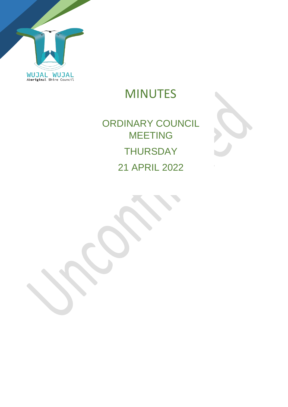

MINUTES

# ORDINARY COUNCIL MEETING **THURSDAY** 21 APRIL 2022

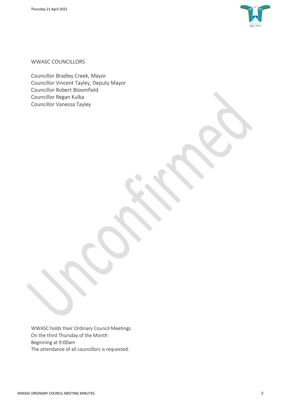

WWASC COUNCILLORS

Councillor Bradley Creek, Mayor Councillor Vincent Tayley, Deputy Mayor Councillor Robert Bloomfield Councillor Regan Kulka Councillor Vanessa Tayley

WWASC holds their Ordinary Council Meetings On the third Thursday of the Month Beginning at 9:00am The attendance of all councillors is requested.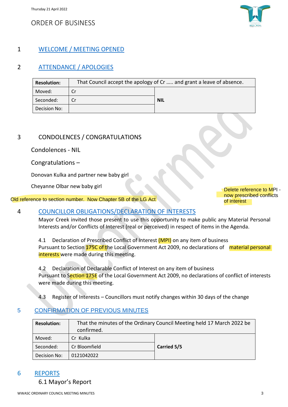## ORDER OF BUSINESS



## 1 WELCOME / MEETING OPENED

## 2 ATTENDANCE / APOLOGIES

| <b>Resolution:</b> | That Council accept the apology of Cr  and grant a leave of absence. |            |
|--------------------|----------------------------------------------------------------------|------------|
| Moved:             |                                                                      |            |
| Seconded:          |                                                                      | <b>NIL</b> |
| Decision No:       |                                                                      |            |

## 3 CONDOLENCES / CONGRATULATIONS

Condolences - NIL

Congratulations –

Donovan Kulka and partner new baby girl

Cheyanne Olbar new baby girl

Old reference to section number. Now Chapter 5B of the LG Act of interest of interest

Delete reference to MPI now prescribed conflicts

#### 4 COUNCILLOR OBLIGATIONS/DECLARATION OF INTERESTS

Mayor Creek invited those present to use this opportunity to make public any Material Personal Interests and/or Conflicts of Interest (real or perceived) in respect of items in the Agenda.

4.1 Declaration of Prescribed Conflict of Interest (MPI) on any item of business Pursuant to Section 175C of the Local Government Act 2009, no declarations of material personal interests were made during this meeting.

4.2 Declaration of Declarable Conflict of Interest on any item of business Pursuant to Section 175E of the Local Government Act 2009, no declarations of conflict of interests were made during this meeting.

4.3 Register of Interests – Councillors must notify changes within 30 days of the change

## 5 CONFIRMATION OF PREVIOUS MINUTES

| <b>Resolution:</b> | That the minutes of the Ordinary Council Meeting held 17 March 2022 be<br>confirmed. |             |  |
|--------------------|--------------------------------------------------------------------------------------|-------------|--|
| Moved:             | Cr Kulka                                                                             |             |  |
| Seconded:          | Cr Bloomfield                                                                        | Carried 5/5 |  |
| Decision No:       | 0121042022                                                                           |             |  |

#### 6 REPORTS

6.1 Mayor's Report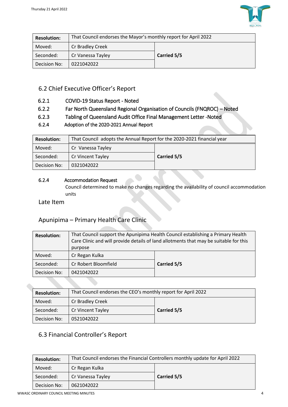

| <b>Resolution:</b> | That Council endorses the Mayor's monthly report for April 2022 |             |  |
|--------------------|-----------------------------------------------------------------|-------------|--|
| Moved:             | Cr Bradley Creek                                                | Carried 5/5 |  |
| Seconded:          | Cr Vanessa Tayley                                               |             |  |
| Decision No:       | 0221042022                                                      |             |  |

## 6.2 Chief Executive Officer's Report

- 6.2.1 COVID-19 Status Report Noted
- 6.2.2 Far North Queensland Regional Organisation of Councils (FNQROC) Noted
- 6.2.3 Tabling of Queensland Audit Office Final Management Letter -Noted
- 6.2.4 Adoption of the 2020-2021 Annual Report

| <b>Resolution:</b> | That Council adopts the Annual Report for the 2020-2021 financial year |             |  |
|--------------------|------------------------------------------------------------------------|-------------|--|
| Moved:             | Cr Vanessa Tayley                                                      |             |  |
| Seconded:          | Cr Vincent Tayley                                                      | Carried 5/5 |  |
| Decision No:       | 0321042022                                                             |             |  |

#### 6.2.4 Accommodation Request

Council determined to make no changes regarding the availability of council accommodation units

Late Item

## Apunipima – Primary Health Care Clinic

| <b>Resolution:</b> | That Council support the Apunipima Health Council establishing a Primary Health<br>Care Clinic and will provide details of land allotments that may be suitable for this<br>purpose |             |  |
|--------------------|-------------------------------------------------------------------------------------------------------------------------------------------------------------------------------------|-------------|--|
| Moved:             | Cr Regan Kulka                                                                                                                                                                      |             |  |
| Seconded:          | Cr Robert Bloomfield                                                                                                                                                                | Carried 5/5 |  |
| Decision No:       | 0421042022                                                                                                                                                                          |             |  |

| <b>Resolution:</b> | That Council endorses the CEO's monthly report for April 2022 |             |  |
|--------------------|---------------------------------------------------------------|-------------|--|
| Moved:             | Cr Bradley Creek                                              | Carried 5/5 |  |
| Seconded:          | Cr Vincent Tayley                                             |             |  |
| Decision No:       | 0521042022                                                    |             |  |

## 6.3 Financial Controller's Report

| <b>Resolution:</b> | That Council endorses the Financial Controllers monthly update for April 2022 |             |  |
|--------------------|-------------------------------------------------------------------------------|-------------|--|
| Moved:             | Cr Regan Kulka                                                                |             |  |
| Seconded:          | Cr Vanessa Tayley                                                             | Carried 5/5 |  |
| Decision No:       | 0621042022                                                                    |             |  |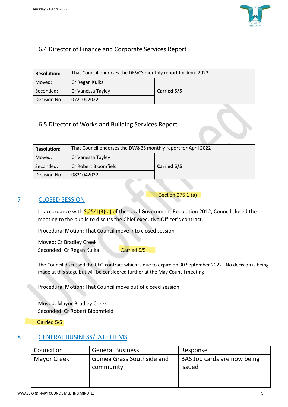

## 6.4 Director of Finance and Corporate Services Report

| <b>Resolution:</b> | That Council endorses the DF&CS monthly report for April 2022 |             |  |
|--------------------|---------------------------------------------------------------|-------------|--|
| Moved:             | Cr Regan Kulka                                                |             |  |
| Seconded:          | Cr Vanessa Tayley                                             | Carried 5/5 |  |
| Decision No:       | 0721042022                                                    |             |  |

## 6.5 Director of Works and Building Services Report

| <b>Resolution:</b> | That Council endorses the DW&BS monthly report for April 2022 |             |  |
|--------------------|---------------------------------------------------------------|-------------|--|
| Moved:             | Cr Vanessa Tayley                                             |             |  |
| Seconded:          | Cr Robert Bloomfield                                          | Carried 5/5 |  |
| Decision No:       | 0821042022                                                    |             |  |

#### 7 CLOSED SESSION

Section 275 1 (a)

In accordance with  $\frac{5,254J(3)(a)}{b}$  of the Local Government Regulation 2012, Council closed the meeting to the public to discuss the Chief executive Officer's contract.

Procedural Motion: That Council move into closed session

Moved: Cr Bradley Creek Seconded: Cr Regan Kulka

Carried 5/5

The Council discussed the CEO contract which is due to expire on 30 September 2022. No decision is being made at this stage but will be considered further at the May Council meeting

Procedural Motion: That Council move out of closed session

Moved: Mayor Bradley Creek Seconded: Cr Robert Bloomfield

Carried 5/5

## 8 GENERAL BUSINESS/LATE ITEMS

| Councillor  | <b>General Business</b>                 | Response                              |
|-------------|-----------------------------------------|---------------------------------------|
| Mayor Creek | Guinea Grass Southside and<br>community | BAS Job cards are now being<br>issued |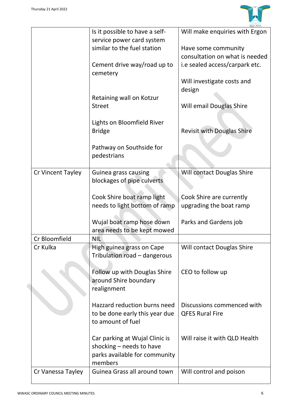

|                   | Is it possible to have a self- | Will make enquiries with Ergon    |
|-------------------|--------------------------------|-----------------------------------|
|                   | service power card system      |                                   |
|                   | similar to the fuel station    | Have some community               |
|                   |                                | consultation on what is needed    |
|                   | Cement drive way/road up to    | i.e sealed access/carpark etc.    |
|                   | cemetery                       |                                   |
|                   |                                | Will investigate costs and        |
|                   |                                | design                            |
|                   | Retaining wall on Kotzur       |                                   |
|                   | <b>Street</b>                  | Will email Douglas Shire          |
|                   |                                |                                   |
|                   | Lights on Bloomfield River     |                                   |
|                   | <b>Bridge</b>                  | <b>Revisit with Douglas Shire</b> |
|                   |                                |                                   |
|                   | Pathway on Southside for       |                                   |
|                   | pedestrians                    |                                   |
|                   |                                |                                   |
| Cr Vincent Tayley | Guinea grass causing           | Will contact Douglas Shire        |
|                   | blockages of pipe culverts     |                                   |
|                   |                                |                                   |
|                   | Cook Shire boat ramp light     | Cook Shire are currently          |
|                   | needs to light bottom of ramp  | upgrading the boat ramp           |
|                   |                                |                                   |
|                   | Wujal boat ramp hose down      | Parks and Gardens job             |
|                   | area needs to be kept mowed    |                                   |
| Cr Bloomfield     | <b>NIL</b>                     |                                   |
| Cr Kulka          | High guinea grass on Cape      | Will contact Douglas Shire        |
|                   | Tribulation road - dangerous   |                                   |
|                   |                                |                                   |
|                   | Follow up with Douglas Shire   | CEO to follow up                  |
|                   | around Shire boundary          |                                   |
|                   | realignment                    |                                   |
|                   |                                |                                   |
|                   | Hazzard reduction burns need   | Discussions commenced with        |
|                   | to be done early this year due | <b>QFES Rural Fire</b>            |
|                   | to amount of fuel              |                                   |
|                   |                                |                                   |
|                   | Car parking at Wujal Clinic is | Will raise it with QLD Health     |
|                   | shocking - needs to have       |                                   |
|                   | parks available for community  |                                   |
|                   | members                        |                                   |
| Cr Vanessa Tayley | Guinea Grass all around town   | Will control and poison           |
|                   |                                |                                   |